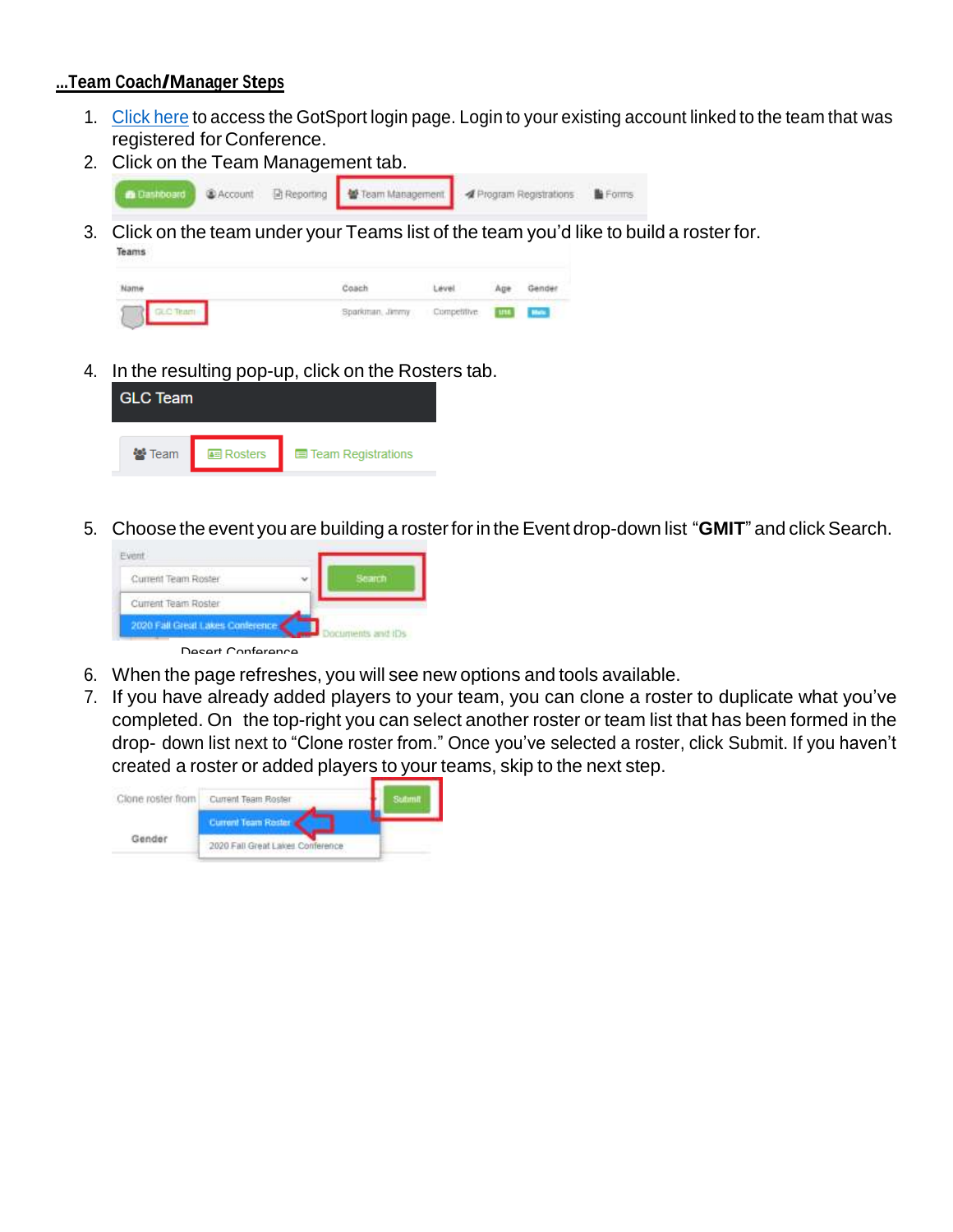## **...Team Coach/Manager Steps**

- 1. [Click](https://system.gotsport.com/) here to access the GotSport login page. Login to your existing account linked to the team that was registered for Conference.
- 2. Click on the Team Management tab.



3. Click on the team under your Teams list of the team you'd like to build a roster for. Teams

| <b>mari</b>     |                                 |  |
|-----------------|---------------------------------|--|
| Sparkman, Jimmy | Competitive <b>[1115</b>   Line |  |

4. In the resulting pop-up, click on the Rosters tab.

| <b>GLC Team</b> |                  |                             |  |  |
|-----------------|------------------|-----------------------------|--|--|
| ₩ Team          | <b>E</b> Rosters | <b>E</b> Team Registrations |  |  |

5. Choose the event you are building a rosterforin theEvent drop-down list "**GMIT**" and clickSearch.



- 6. When the page refreshes, you will see new options and tools available.
- 7. If you have already added players to your team, you can clone a roster to duplicate what you've completed. On the top-right you can select another roster or team list that has been formed in the drop- down list next to "Clone roster from." Once you've selected a roster, click Submit. If you haven't created a roster or added players to your teams, skip to the next step.

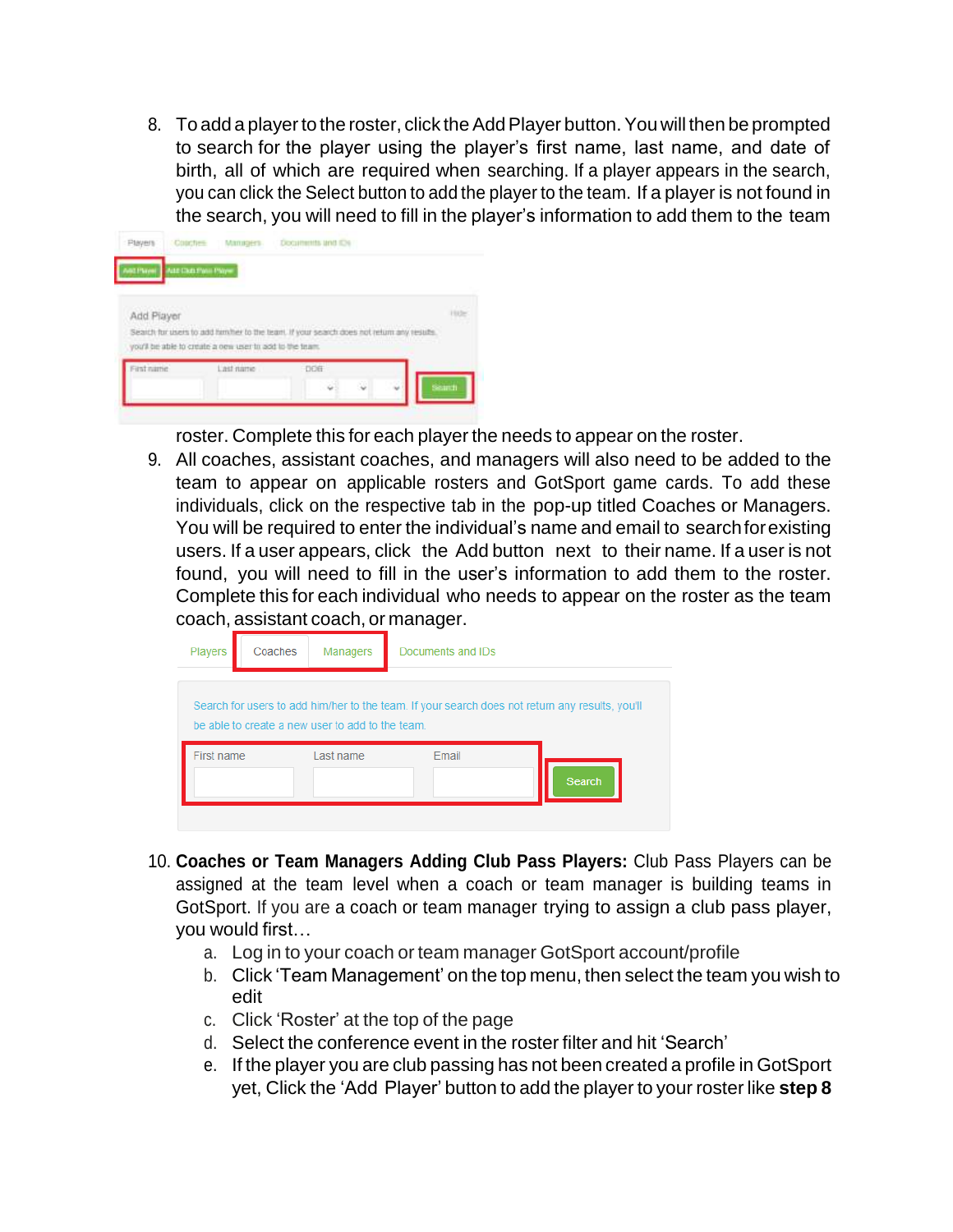8. To add a player to the roster, click the Add Player button. You will then be prompted to search for the player using the player's first name, last name, and date of birth, all of which are required when searching. If a player appears in the search, you can click the Select button to add the player to the team. If a player is not found in the search, you will need to fill in the player's information to add them to the team

| : Coaches<br>Players |                                                                                          | Documents and IDs |  |  |
|----------------------|------------------------------------------------------------------------------------------|-------------------|--|--|
| <b>BE Flyinei</b>    | Ass Club Page Page:                                                                      |                   |  |  |
|                      |                                                                                          |                   |  |  |
| Add Player           | Search for users to add him her to the team. If your search does not return any results. |                   |  |  |
| First name           | you'll be able to create a oew user to add to the team.<br>Last name                     | DOB               |  |  |

roster. Complete this for each player the needs to appear on the roster.

9. All coaches, assistant coaches, and managers will also need to be added to the team to appear on applicable rosters and GotSport game cards. To add these individuals, click on the respective tab in the pop-up titled Coaches or Managers. You will be required to enter the individual's name and email to searchforexisting users. If a user appears, click the Add button next to their name. If a user is not found, you will need to fill in the user's information to add them to the roster. Complete this for each individual who needs to appear on the roster as the team coach, assistant coach, or manager.

| Players    | Coaches | Managers                                         | Documents and IDs                                                                               |
|------------|---------|--------------------------------------------------|-------------------------------------------------------------------------------------------------|
|            |         | be able to create a new user to add to the team. | Search for users to add him/her to the team. If your search does not return any results, you'll |
| First name |         | Last name                                        | Email<br><b>Search</b>                                                                          |

- 10. **Coaches or Team Managers Adding Club Pass Players:** Club Pass Players can be assigned at the team level when a coach or team manager is building teams in GotSport. If you are a coach or team manager trying to assign a club pass player, you would first…
	- a. Log in to your coach or team manager GotSport account/profile
	- b. Click 'Team Management' on the top menu, then select the team you wish to edit
	- c. Click 'Roster' at the top of the page
	- d. Select the conference event in the roster filter and hit 'Search'
	- e. If the player you are club passing has not been created a profile in GotSport yet, Click the 'Add Player' button to add the player to your roster like **step 8**